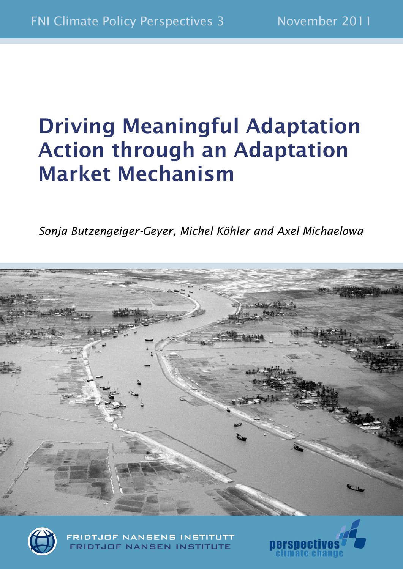# **Driving Meaningful Adaptation Action through an Adaptation Market Mechanism**

*Sonja Butzengeiger-Geyer, Michel Köhler and Axel Michaelowa*





**FRIDTJOF NANSENS INSTITUTT FRIDTJOF NANSEN INSTITUTE** 

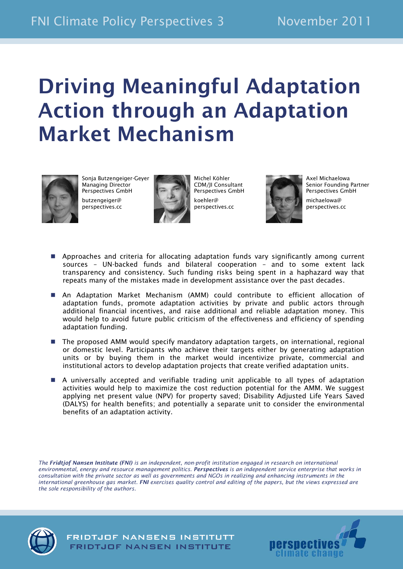# **Driving Meaningful Adaptation Action through an Adaptation Market Mechanism**



Sonja Butzengeiger-Geyer Managing Director Perspectives GmbH butzengeiger@ perspectives.cc



Michel Köhler CDM/JI Consultant Perspectives GmbH koehler@ perspectives.cc



Axel Michaelowa Senior Founding Partner Perspectives GmbH michaelowa@ perspectives.cc

- Approaches and criteria for allocating adaptation funds vary significantly among current sources – UN-backed funds and bilateral cooperation – and to some extent lack transparency and consistency. Such funding risks being spent in a haphazard way that repeats many of the mistakes made in development assistance over the past decades.
- An Adaptation Market Mechanism (AMM) could contribute to efficient allocation of adaptation funds, promote adaptation activities by private and public actors through additional financial incentives, and raise additional and reliable adaptation money. This would help to avoid future public criticism of the effectiveness and efficiency of spending adaptation funding.
- The proposed AMM would specify mandatory adaptation targets, on international, regional or domestic level. Participants who achieve their targets either by generating adaptation units or by buying them in the market would incentivize private, commercial and institutional actors to develop adaptation projects that create verified adaptation units.
- A universally accepted and verifiable trading unit applicable to all types of adaptation activities would help to maximize the cost reduction potential for the AMM. We suggest applying net present value (NPV) for property saved; Disability Adjusted Life Years Saved (DALYS) for health benefits; and potentially a separate unit to consider the environmental benefits of an adaptation activity.

*The Fridtjof Nansen Institute (FNI) is an independent, non-profit institution engaged in research on international environmental, energy and resource management politics. Perspectives is an independent service enterprise that works in consultation with the private sector as well as governments and NGOs in realizing and enhancing instruments in the international greenhouse gas market. FNI exercises quality control and editing of the papers, but the views expressed are the sole responsibility of the authors.*

**FRIDTJOF NANSENS INSTITUTT** FRIDTJOF NANSEN INSTITUTE



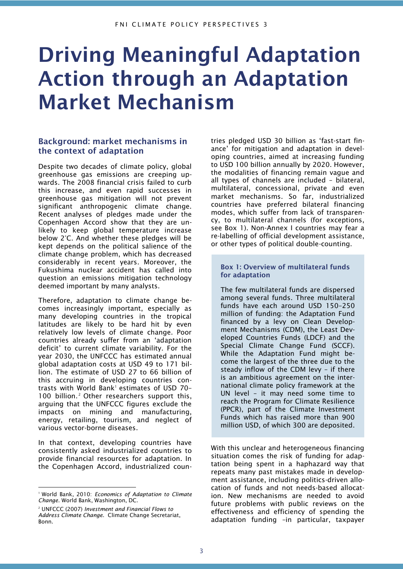# **Driving Meaningful Adaptation Action through an Adaptation Market Mechanism**

## **Background: market mechanisms in the context of adaptation**

Despite two decades of climate policy, global greenhouse gas emissions are creeping upwards. The 2008 financial crisis failed to curb this increase, and even rapid successes in greenhouse gas mitigation will not prevent significant anthropogenic climate change. Recent analyses of pledges made under the Copenhagen Accord show that they are unlikely to keep global temperature increase below 2°C. And whether these pledges will be kept depends on the political salience of the climate change problem, which has decreased considerably in recent years. Moreover, the Fukushima nuclear accident has called into question an emissions mitigation technology deemed important by many analysts.

Therefore, adaptation to climate change becomes increasingly important, especially as many developing countries in the tropical latitudes are likely to be hard hit by even relatively low levels of climate change. Poor countries already suffer from an 'adaptation deficit' to current climate variability. For the year 2030, the UNFCCC has estimated annual global adaptation costs at USD 49 to 171 billion. The estimate of USD 27 to 66 billion of this accruing in developing countries contrasts with World Bank<sup>1</sup> estimates of USD 70-100 billion.<sup>2</sup> Other researchers support this. arguing that the UNFCCC figures exclude the impacts on mining and manufacturing, energy, retailing, tourism, and neglect of various vector-borne diseases.

In that context, developing countries have consistently asked industrialized countries to provide financial resources for adaptation. In the Copenhagen Accord, industrialized coun-

-

tries pledged USD 30 billion as 'fast-start finance' for mitigation and adaptation in developing countries, aimed at increasing funding to USD 100 billion annually by 2020. However, the modalities of financing remain vague and all types of channels are included – bilateral, multilateral, concessional, private and even market mechanisms. So far, industrialized countries have preferred bilateral financing modes, which suffer from lack of transparency, to multilateral channels (for exceptions, see Box 1). Non-Annex I countries may fear a re-labelling of official development assistance, or other types of political double-counting.

### **Box 1: Overview of multilateral funds for adaptation**

The few multilateral funds are dispersed among several funds. Three multilateral funds have each around USD 150–250 million of funding: the Adaptation Fund financed by a levy on Clean Development Mechanisms (CDM), the Least Developed Countries Funds (LDCF) and the Special Climate Change Fund (SCCF). While the Adaptation Fund might become the largest of the three due to the steady inflow of the CDM levy – if there is an ambitious agreement on the international climate policy framework at the UN level – it may need some time to reach the Program for Climate Resilience (PPCR), part of the Climate Investment Funds which has raised more than 900 million USD, of which 300 are deposited.

With this unclear and heterogeneous financing situation comes the risk of funding for adaptation being spent in a haphazard way that repeats many past mistakes made in development assistance, including politics-driven allocation of funds and not needs-based allocation. New mechanisms are needed to avoid future problems with public reviews on the effectiveness and efficiency of spending the adaptation funding –in particular, taxpayer

<sup>1</sup> World Bank, 2010: *Economics of Adaptation to Climate Change.* World Bank, Washington, DC.

<sup>2</sup> UNFCCC (2007) *Investment and Financial Flows to Address Climate Change*. Climate Change Secretariat, Bonn.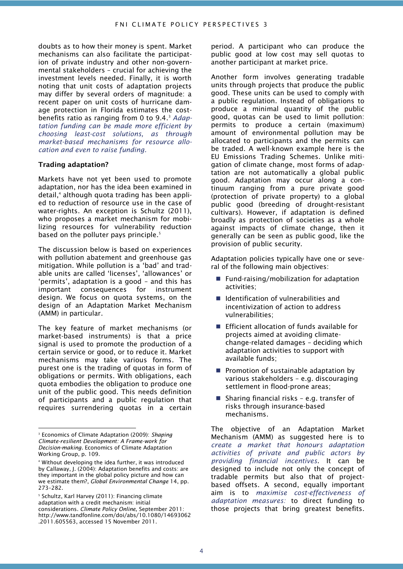doubts as to how their money is spent. Market mechanisms can also facilitate the participation of private industry and other non-governmental stakeholders – crucial for achieving the investment levels needed. Finally, it is worth noting that unit costs of adaptation projects may differ by several orders of magnitude: a recent paper on unit costs of hurricane damage protection in Florida estimates the costbenefits ratio as ranging from 0 to 9.4.<sup>3</sup> *Adaptation funding can be made more efficient by choosing least-cost solutions, as through market-based mechanisms for resource allocation and even to raise funding.*

#### **Trading adaptation?**

Markets have not yet been used to promote adaptation, nor has the idea been examined in detail,<sup>4</sup> although quota trading has been applied to reduction of resource use in the case of water-rights. An exception is Schultz (2011), who proposes a market mechanism for mobilizing resources for vulnerability reduction based on the polluter pays principle.<sup>5</sup>

The discussion below is based on experiences with pollution abatement and greenhouse gas mitigation. While pollution is a 'bad' and tradable units are called 'licenses', 'allowances' or 'permits', adaptation is a good – and this has important consequences for instrument design. We focus on quota systems, on the design of an Adaptation Market Mechanism (AMM) in particular.

The key feature of market mechanisms (or market-based instruments) is that a price signal is used to promote the production of a certain service or good, or to reduce it. Market mechanisms may take various forms. The purest one is the trading of quotas in form of obligations or permits. With obligations, each quota embodies the obligation to produce one unit of the public good. This needs definition of participants and a public regulation that requires surrendering quotas in a certain

-

<sup>5</sup> Schultz, Karl Harvey (2011): Financing climate adaptation with a credit mechanism: initial considerations. *Climate Policy Online,* September 2011: http://www.tandfonline.com/doi/abs/10.1080/14693062 .2011.605563, accessed 15 November 2011.

period. A participant who can produce the public good at low cost may sell quotas to another participant at market price.

Another form involves generating tradable units through projects that produce the public good. These units can be used to comply with a public regulation. Instead of obligations to produce a minimal quantity of the public good, quotas can be used to limit pollution: permits to produce a certain (maximum) amount of environmental pollution may be allocated to participants and the permits can be traded. A well-known example here is the EU Emissions Trading Schemes. Unlike mitigation of climate change, most forms of adaptation are not automatically a global public good. Adaptation may occur along a continuum ranging from a pure private good (protection of private property) to a global public good (breeding of drought-resistant cultivars). However, if adaptation is defined broadly as protection of societies as a whole against impacts of climate change, then it generally can be seen as public good, like the provision of public security.

Adaptation policies typically have one or several of the following main objectives:

- $\blacksquare$  Fund-raising/mobilization for adaptation activities;
- Identification of vulnerabilities and incentivization of action to address vulnerabilities;
- **Efficient allocation of funds available for** projects aimed at avoiding climatechange-related damages – deciding which adaptation activities to support with available funds;
- **Promotion of sustainable adaptation by** various stakeholders – e.g. discouraging settlement in flood-prone areas;
- Sharing financial risks e.g. transfer of risks through insurance-based mechanisms.

The objective of an Adaptation Market Mechanism (AMM) as suggested here is to *create a market that honours adaptation activities of private and public actors by providing financial incentives*. It can be designed to include not only the concept of tradable permits but also that of projectbased offsets. A second, equally important aim is to *maximise cost-effectiveness of adaptation measures:* to direct funding to those projects that bring greatest benefits.

<sup>3</sup> Economics of Climate Adaptation (2009): *Shaping Climate-resilient Development: A Frame-work for Decision-making.* Economics of Climate Adaptation Working Group, p. 109.

<sup>4</sup> Without developing the idea further, it was introduced by Callaway, J. (2004): Adaptation benefits and costs: are they important in the global policy picture and how can we estimate them?, *Global Environmental Change* 14, pp. 273–282.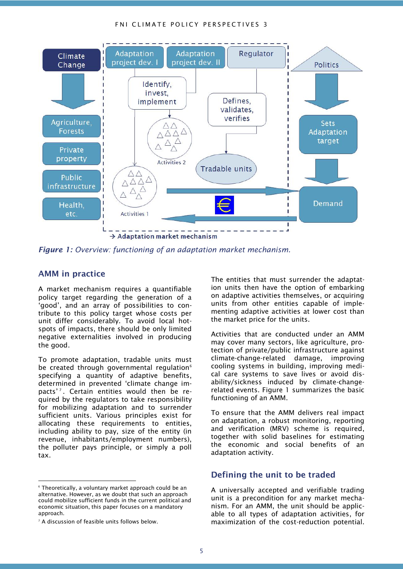#### FNI CLIMATE POLICY PERSPECTIVES 3



*Figure 1: Overview: functioning of an adaptation market mechanism.*

### **AMM in practice**

A market mechanism requires a quantifiable policy target regarding the generation of a 'good', and an array of possibilities to contribute to this policy target whose costs per unit differ considerably. To avoid local hotspots of impacts, there should be only limited negative externalities involved in producing the good.

To promote adaptation, tradable units must be created through governmental regulation<sup>6</sup> specifying a quantity of adaptive benefits, determined in prevented 'climate change impacts'<sup>7</sup>. Certain entities would then be required by the regulators to take responsibility for mobilizing adaptation and to surrender sufficient units. Various principles exist for allocating these requirements to entities, including ability to pay, size of the entity (in revenue, inhabitants/employment numbers), the polluter pays principle, or simply a poll tax.

-

The entities that must surrender the adaptation units then have the option of embarking on adaptive activities themselves, or acquiring units from other entities capable of implementing adaptive activities at lower cost than the market price for the units.

Activities that are conducted under an AMM may cover many sectors, like agriculture, protection of private/public infrastructure against climate-change-related damage, improving cooling systems in building, improving medical care systems to save lives or avoid disability/sickness induced by climate-changerelated events. Figure 1 summarizes the basic functioning of an AMM.

To ensure that the AMM delivers real impact on adaptation, a robust monitoring, reporting and verification (MRV) scheme is required, together with solid baselines for estimating the economic and social benefits of an adaptation activity.

## **Defining the unit to be traded**

A universally accepted and verifiable trading unit is a precondition for any market mechanism. For an AMM, the unit should be applicable to all types of adaptation activities, for maximization of the cost-reduction potential.

<sup>6</sup> Theoretically, a voluntary market approach could be an alternative. However, as we doubt that such an approach could mobilize sufficient funds in the current political and economic situation, this paper focuses on a mandatory approach.

<sup>&</sup>lt;sup>7</sup> A discussion of feasible units follows below.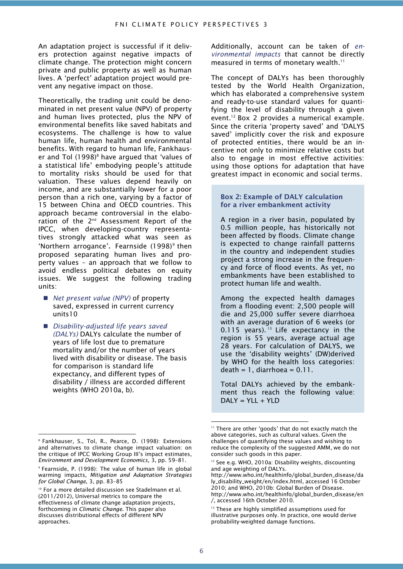An adaptation project is successful if it delivers protection against negative impacts of climate change. The protection might concern private and public property as well as human lives. A 'perfect' adaptation project would prevent any negative impact on those.

Theoretically, the trading unit could be denominated in net present value (NPV) of property and human lives protected, plus the NPV of environmental benefits like saved habitats and ecosystems. The challenge is how to value human life, human health and environmental benefits. With regard to human life, Fankhauser and Tol  $(1998)^8$  have argued that 'values of a statistical life' embodying people's attitude to mortality risks should be used for that valuation. These values depend heavily on income, and are substantially lower for a poor person than a rich one, varying by a factor of 15 between China and OECD countries. This approach became controversial in the elaboration of the 2<sup>nd</sup> Assessment Report of the IPCC, when developing-country representatives strongly attacked what was seen as 'Northern arrogance'. Fearnside (1998)<sup>9</sup> then proposed separating human lives and property values – an approach that we follow to avoid endless political debates on equity issues. We suggest the following trading units:

- *Net present value (NPV)* of property saved, expressed in current currency units10
- *Disability-adjusted life years saved (DALYs)* DALYs calculate the number of years of life lost due to premature mortality and/or the number of years lived with disability or disease. The basis for comparison is standard life expectancy, and different types of disability / illness are accorded different weights (WHO 2010a, b).

-

Additionally, account can be taken of *environmental impacts* that cannot be directly measured in terms of monetary wealth.<sup>11</sup>

The concept of DALYs has been thoroughly tested by the World Health Organization, which has elaborated a comprehensive system and ready-to-use standard values for quantifying the level of disability through a given event. <sup>12</sup> Box 2 provides a numerical example. Since the criteria 'property saved' and 'DALYS saved' implicitly cover the risk and exposure of protected entities, there would be an incentive not only to minimize relative costs but also to engage in most effective activities: using those options for adaptation that have greatest impact in economic and social terms.

#### **Box 2: Example of DALY calculation for a river embankment activity**

A region in a river basin, populated by 0.5 million people, has historically not been affected by floods. Climate change is expected to change rainfall patterns in the country and independent studies project a strong increase in the frequency and force of flood events. As yet, no embankments have been established to protect human life and wealth.

Among the expected health damages from a flooding event: 2,500 people will die and 25,000 suffer severe diarrhoea with an average duration of 6 weeks (or 0.115 years).  $13$  Life expectancy in the region is 55 years, average actual age 28 years. For calculation of DALYS, we use the 'disability weights' (DW)derived by WHO for the health loss categories:  $death = 1$ , diarrhoea =  $0.11$ .

Total DALYs achieved by the embankment thus reach the following value:  $DALY = YLL + YLD$ 

-

<sup>8</sup> Fankhauser, S., Tol, R., Pearce, D. (1998): Extensions and alternatives to climate change impact valuation: on the critique of IPCC Working Group III's impact estimates, *Environment and Development Economics,* 3, pp. 59–81.

<sup>9</sup> Fearnside, P. (1998): The value of human life in global warming impacts, *Mitigation and Adaptation Strategies for Global Change,* 3, pp. 83–85

<sup>10</sup> For a more detailed discussion see Stadelmann et al. (2011/2012), Universal metrics to compare the effectiveness of climate change adaptation projects, forthcoming in *Climatic Change.* This paper also discusses distributional effects of different NPV approaches.

<sup>&</sup>lt;sup>11</sup> There are other 'goods' that do not exactly match the above categories, such as cultural values. Given the challenges of quantifying these values and wishing to reduce the complexity of the suggested AMM, we do not consider such goods in this paper.

<sup>&</sup>lt;sup>12</sup> See e.g. WHO, 2010a: Disability weights, discounting and age weighting of DALYs.

http://www.who.int/healthinfo/global\_burden\_disease/da ly\_disability\_weight/en/index.html, accessed 16 October 2010; and WHO, 2010b: Global Burden of Disease. http://www.who.int/healthinfo/global\_burden\_disease/en /, accessed 16th October 2010.

<sup>&</sup>lt;sup>13</sup> These are highly simplified assumptions used for illustrative purposes only. In practice, one would derive probability-weighted damage functions.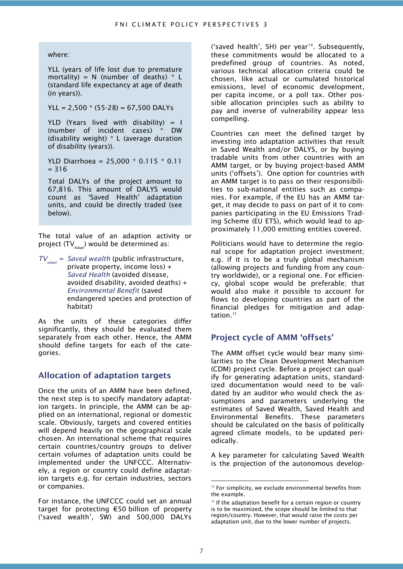where:

YLL (years of life lost due to premature mortality) =  $N$  (number of deaths)  $*$  L (standard life expectancy at age of death (in years)).

YLL =  $2,500 * (55-28) = 67,500$  DALYs

YLD (Years lived with disability)  $=$  I (number of incident cases) \* DW (disability weight) \* L (average duration of disability (years)).

YLD Diarrhoea = 25,000 \* 0.115 \* 0.11  $= 316$ 

Total DALYs of the project amount to 67,816. This amount of DALYS would count as 'Saved Health' adaptation units, and could be directly traded (see below).

The total value of an adaption activity or project  $\text{(TV}_{\text{\tiny{Adapt}}})$  would be determined as:

*TV adapt = Saved wealth* (public infrastructure, private property, income loss) + *Saved Health* (avoided disease, avoided disability, avoided deaths) + *Environmental Benefit* (saved endangered species and protection of habitat)

As the units of these categories differ significantly, they should be evaluated them separately from each other. Hence, the AMM should define targets for each of the categories.

### **Allocation of adaptation targets**

Once the units of an AMM have been defined, the next step is to specify mandatory adaptation targets. In principle, the AMM can be applied on an international, regional or domestic scale. Obviously, targets and covered entities will depend heavily on the geographical scale chosen. An international scheme that requires certain countries/country groups to deliver certain volumes of adaptation units could be implemented under the UNFCCC. Alternatively, a region or country could define adaptation targets e.g. for certain industries, sectors or companies.

For instance, the UNFCCC could set an annual target for protecting €50 billion of property ('saved wealth', SW) and 500,000 DALYs ('saved health', SH) per year<sup>14</sup>. Subsequently, these commitments would be allocated to a predefined group of countries. As noted, various technical allocation criteria could be chosen, like actual or cumulated historical emissions, level of economic development, per capita income, or a poll tax. Other possible allocation principles such as ability to pay and inverse of vulnerability appear less compelling.

Countries can meet the defined target by investing into adaptation activities that result in Saved Wealth and/or DALYS, or by buying tradable units from other countries with an AMM target, or by buying project-based AMM units ('offsets'). One option for countries with an AMM target is to pass on their responsibilities to sub-national entities such as companies. For example, if the EU has an AMM target, it may decide to pass on part of it to companies participating in the EU Emissions Trading Scheme (EU ETS), which would lead to approximately 11,000 emitting entities covered.

Politicians would have to determine the regional scope for adaptation project investment; e.g. if it is to be a truly global mechanism (allowing projects and funding from any country worldwide), or a regional one. For efficiency, global scope would be preferable; that would also make it possible to account for flows to developing countries as part of the financial pledges for mitigation and adaptation.<sup>15</sup>

## **Project cycle of AMM 'offsets'**

The AMM offset cycle would bear many similarities to the Clean Development Mechanism (CDM) project cycle. Before a project can qualify for generating adaptation units, standardized documentation would need to be validated by an auditor who would check the assumptions and parameters underlying the estimates of Saved Wealth, Saved Health and Environmental Benefits. These parameters should be calculated on the basis of politically agreed climate models, to be updated periodically.

A key parameter for calculating Saved Wealth is the projection of the autonomous develop-

-

<sup>&</sup>lt;sup>14</sup> For simplicity, we exclude environmental benefits from the example.

<sup>&</sup>lt;sup>15</sup> If the adaptation benefit for a certain region or country is to be maximized, the scope should be limited to that region/country. However, that would raise the costs per adaptation unit, due to the lower number of projects.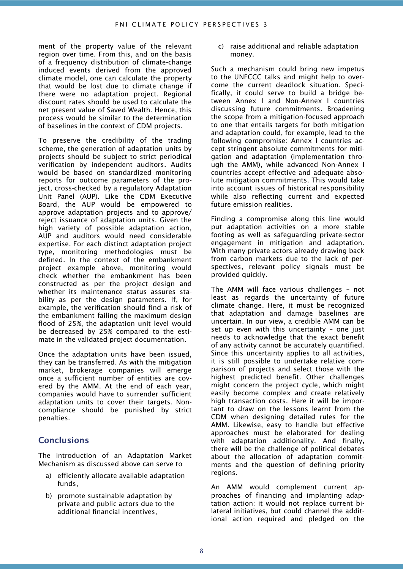ment of the property value of the relevant region over time. From this, and on the basis of a frequency distribution of climate-change induced events derived from the approved climate model, one can calculate the property that would be lost due to climate change if there were no adaptation project. Regional discount rates should be used to calculate the net present value of Saved Wealth. Hence, this process would be similar to the determination of baselines in the context of CDM projects.

To preserve the credibility of the trading scheme, the generation of adaptation units by projects should be subject to strict periodical verification by independent auditors. Audits would be based on standardized monitoring reports for outcome parameters of the project, cross-checked by a regulatory Adaptation Unit Panel (AUP). Like the CDM Executive Board, the AUP would be empowered to approve adaptation projects and to approve/ reject issuance of adaptation units. Given the high variety of possible adaptation action, AUP and auditors would need considerable expertise. For each distinct adaptation project type, monitoring methodologies must be defined. In the context of the embankment project example above, monitoring would check whether the embankment has been constructed as per the project design and whether its maintenance status assures stability as per the design parameters. If, for example, the verification should find a risk of the embankment failing the maximum design flood of 25%, the adaptation unit level would be decreased by 25% compared to the estimate in the validated project documentation.

Once the adaptation units have been issued, they can be transferred. As with the mitigation market, brokerage companies will emerge once a sufficient number of entities are covered by the AMM. At the end of each year, companies would have to surrender sufficient adaptation units to cover their targets. Noncompliance should be punished by strict penalties.

## **Conclusions**

The introduction of an Adaptation Market Mechanism as discussed above can serve to

- a) efficiently allocate available adaptation funds,
- b) promote sustainable adaptation by private and public actors due to the additional financial incentives,

c) raise additional and reliable adaptation money.

Such a mechanism could bring new impetus to the UNFCCC talks and might help to overcome the current deadlock situation. Specifically, it could serve to build a bridge between Annex I and Non-Annex I countries discussing future commitments. Broadening the scope from a mitigation-focused approach to one that entails targets for both mitigation and adaptation could, for example, lead to the following compromise: Annex I countries accept stringent absolute commitments for mitigation and adaptation (implementation through the AMM), while advanced Non-Annex I countries accept effective and adequate absolute mitigation commitments. This would take into account issues of historical responsibility while also reflecting current and expected future emission realities.

Finding a compromise along this line would put adaptation activities on a more stable footing as well as safeguarding private-sector engagement in mitigation and adaptation. With many private actors already drawing back from carbon markets due to the lack of perspectives, relevant policy signals must be provided quickly.

The AMM will face various challenges – not least as regards the uncertainty of future climate change. Here, it must be recognized that adaptation and damage baselines are uncertain. In our view, a credible AMM can be set up even with this uncertainty – one just needs to acknowledge that the exact benefit of any activity cannot be accurately quantified. Since this uncertainty applies to all activities, it is still possible to undertake relative comparison of projects and select those with the highest predicted benefit. Other challenges might concern the project cycle, which might easily become complex and create relatively high transaction costs. Here it will be important to draw on the lessons learnt from the CDM when designing detailed rules for the AMM. Likewise, easy to handle but effective approaches must be elaborated for dealing with adaptation additionality. And finally, there will be the challenge of political debates about the allocation of adaptation commitments and the question of defining priority regions.

An AMM would complement current approaches of financing and implanting adaptation action: it would not replace current bilateral initiatives, but could channel the additional action required and pledged on the